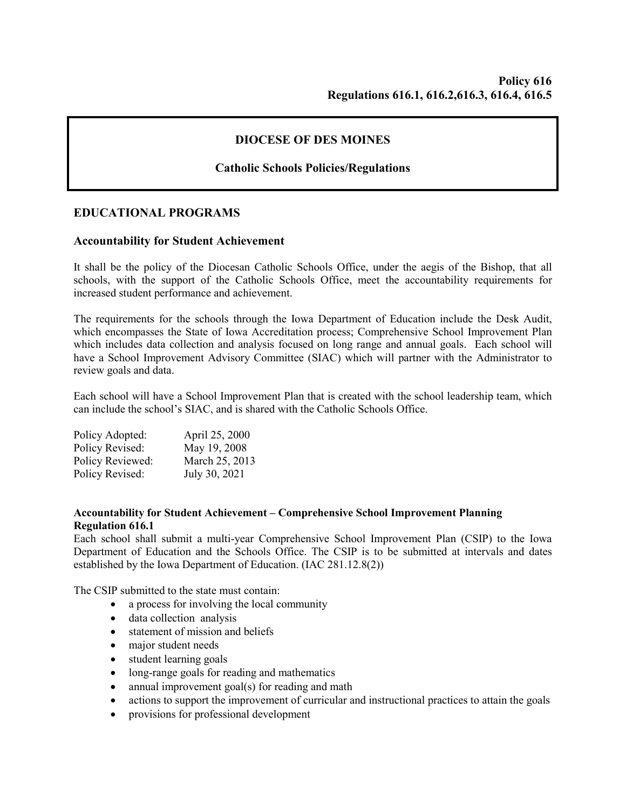# **DIOCESE OF DES MOINES**

# **Catholic Schools Policies/Regulations**

## **EDUCATIONAL PROGRAMS**

### **Accountability for Student Achievement**

It shall be the policy of the Diocesan Catholic Schools Office, under the aegis of the Bishop, that all schools, with the support of the Catholic Schools Office, meet the accountability requirements for increased student performance and achievement.

The requirements for the schools through the Iowa Department of Education include the Desk Audit, which encompasses the State of Iowa Accreditation process; Comprehensive School Improvement Plan which includes data collection and analysis focused on long range and annual goals. Each school will have a School Improvement Advisory Committee (SIAC) which will partner with the Administrator to review goals and data.

Each school will have a School Improvement Plan that is created with the school leadership team, which can include the school's SIAC, and is shared with the Catholic Schools Office.

| Policy Adopted:  | April 25, 2000 |
|------------------|----------------|
| Policy Revised:  | May 19, 2008   |
| Policy Reviewed: | March 25, 2013 |
| Policy Revised:  | July 30, 2021  |

### **Accountability for Student Achievement – Comprehensive School Improvement Planning Regulation 616.1**

Each school shall submit a multi-year Comprehensive School Improvement Plan (CSIP) to the Iowa Department of Education and the Schools Office. The CSIP is to be submitted at intervals and dates established by the Iowa Department of Education. (IAC 281.12.8(2))

The CSIP submitted to the state must contain:

- a process for involving the local community
- data collection analysis
- statement of mission and beliefs
- major student needs
- student learning goals
- long-range goals for reading and mathematics
- annual improvement goal(s) for reading and math
- actions to support the improvement of curricular and instructional practices to attain the goals
- provisions for professional development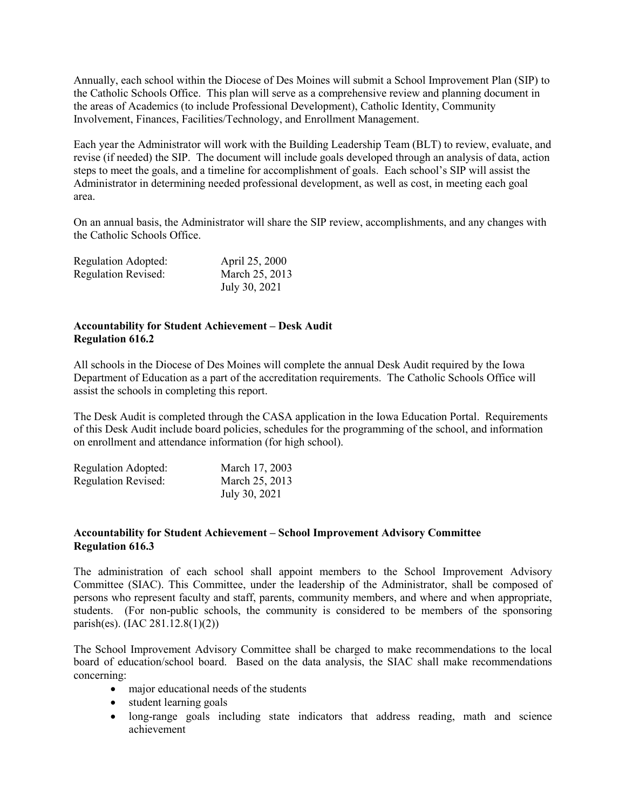Annually, each school within the Diocese of Des Moines will submit a School Improvement Plan (SIP) to the Catholic Schools Office. This plan will serve as a comprehensive review and planning document in the areas of Academics (to include Professional Development), Catholic Identity, Community Involvement, Finances, Facilities/Technology, and Enrollment Management.

Each year the Administrator will work with the Building Leadership Team (BLT) to review, evaluate, and revise (if needed) the SIP. The document will include goals developed through an analysis of data, action steps to meet the goals, and a timeline for accomplishment of goals. Each school's SIP will assist the Administrator in determining needed professional development, as well as cost, in meeting each goal area.

On an annual basis, the Administrator will share the SIP review, accomplishments, and any changes with the Catholic Schools Office.

| Regulation Adopted:        | April 25, 2000 |
|----------------------------|----------------|
| <b>Regulation Revised:</b> | March 25, 2013 |
|                            | July 30, 2021  |

### **Accountability for Student Achievement – Desk Audit Regulation 616.2**

All schools in the Diocese of Des Moines will complete the annual Desk Audit required by the Iowa Department of Education as a part of the accreditation requirements. The Catholic Schools Office will assist the schools in completing this report.

The Desk Audit is completed through the CASA application in the Iowa Education Portal. Requirements of this Desk Audit include board policies, schedules for the programming of the school, and information on enrollment and attendance information (for high school).

| Regulation Adopted:        | March 17, 2003 |
|----------------------------|----------------|
| <b>Regulation Revised:</b> | March 25, 2013 |
|                            | July 30, 2021  |

### **Accountability for Student Achievement – School Improvement Advisory Committee Regulation 616.3**

The administration of each school shall appoint members to the School Improvement Advisory Committee (SIAC). This Committee, under the leadership of the Administrator, shall be composed of persons who represent faculty and staff, parents, community members, and where and when appropriate, students. (For non-public schools, the community is considered to be members of the sponsoring parish(es). (IAC 281.12.8(1)(2))

The School Improvement Advisory Committee shall be charged to make recommendations to the local board of education/school board. Based on the data analysis, the SIAC shall make recommendations concerning:

- major educational needs of the students
- student learning goals
- long-range goals including state indicators that address reading, math and science achievement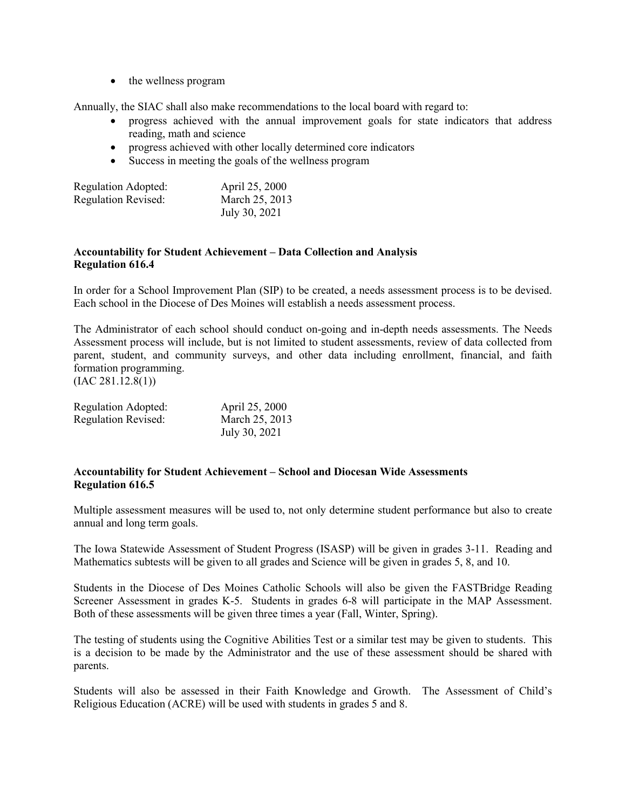• the wellness program

Annually, the SIAC shall also make recommendations to the local board with regard to:

- progress achieved with the annual improvement goals for state indicators that address reading, math and science
- progress achieved with other locally determined core indicators
- Success in meeting the goals of the wellness program

| Regulation Adopted:        | April 25, 2000 |
|----------------------------|----------------|
| <b>Regulation Revised:</b> | March 25, 2013 |
|                            | July 30, 2021  |

#### **Accountability for Student Achievement – Data Collection and Analysis Regulation 616.4**

In order for a School Improvement Plan (SIP) to be created, a needs assessment process is to be devised. Each school in the Diocese of Des Moines will establish a needs assessment process.

The Administrator of each school should conduct on-going and in-depth needs assessments. The Needs Assessment process will include, but is not limited to student assessments, review of data collected from parent, student, and community surveys, and other data including enrollment, financial, and faith formation programming.

 $(IAC 281.12.8(1))$ 

| Regulation Adopted:        | April 25, 2000 |
|----------------------------|----------------|
| <b>Regulation Revised:</b> | March 25, 2013 |
|                            | July 30, 2021  |

#### **Accountability for Student Achievement – School and Diocesan Wide Assessments Regulation 616.5**

Multiple assessment measures will be used to, not only determine student performance but also to create annual and long term goals.

The Iowa Statewide Assessment of Student Progress (ISASP) will be given in grades 3-11. Reading and Mathematics subtests will be given to all grades and Science will be given in grades 5, 8, and 10.

Students in the Diocese of Des Moines Catholic Schools will also be given the FASTBridge Reading Screener Assessment in grades K-5. Students in grades 6-8 will participate in the MAP Assessment. Both of these assessments will be given three times a year (Fall, Winter, Spring).

The testing of students using the Cognitive Abilities Test or a similar test may be given to students. This is a decision to be made by the Administrator and the use of these assessment should be shared with parents.

Students will also be assessed in their Faith Knowledge and Growth. The Assessment of Child's Religious Education (ACRE) will be used with students in grades 5 and 8.